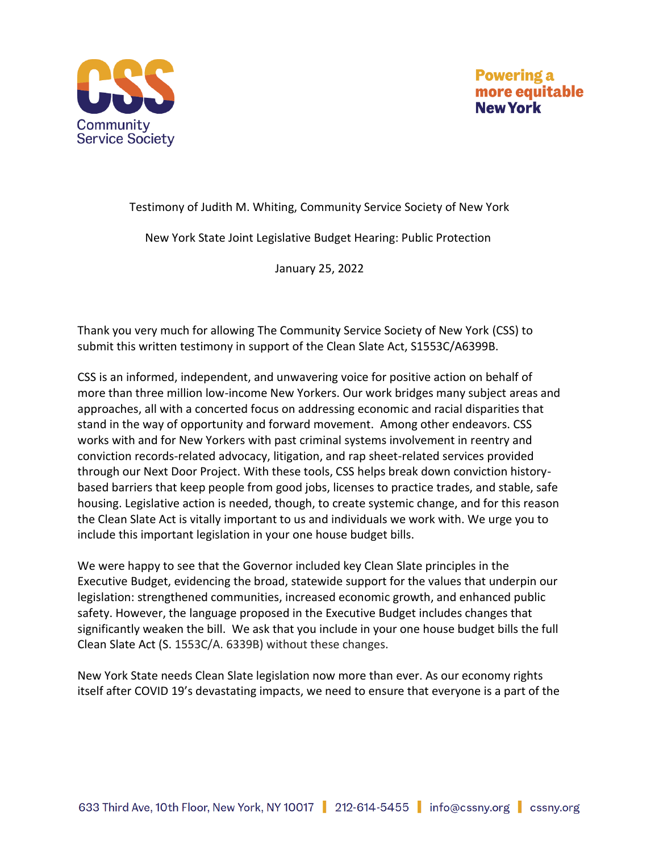

## Testimony of Judith M. Whiting, Community Service Society of New York

New York State Joint Legislative Budget Hearing: Public Protection

January 25, 2022

Thank you very much for allowing The Community Service Society of New York (CSS) to submit this written testimony in support of the Clean Slate Act, S1553C/A6399B.

CSS is an informed, independent, and unwavering voice for positive action on behalf of more than three million low-income New Yorkers. Our work bridges many subject areas and approaches, all with a concerted focus on addressing economic and racial disparities that stand in the way of opportunity and forward movement. Among other endeavors. CSS works with and for New Yorkers with past criminal systems involvement in reentry and conviction records-related advocacy, litigation, and rap sheet-related services provided through our Next Door Project. With these tools, CSS helps break down conviction historybased barriers that keep people from good jobs, licenses to practice trades, and stable, safe housing. Legislative action is needed, though, to create systemic change, and for this reason the Clean Slate Act is vitally important to us and individuals we work with. We urge you to include this important legislation in your one house budget bills.  

We were happy to see that the Governor included key Clean Slate principles in the Executive Budget, evidencing the broad, statewide support for the values that underpin our legislation: strengthened communities, increased economic growth, and enhanced public safety. However, the language proposed in the Executive Budget includes changes that significantly weaken the bill.  We ask that you include in your one house budget bills the full Clean Slate Act (S. 1553C/A. 6339B) without these changes.      

New York State needs Clean Slate legislation now more than ever. As our economy rights itself after COVID 19's devastating impacts, we need to ensure that everyone is a part of the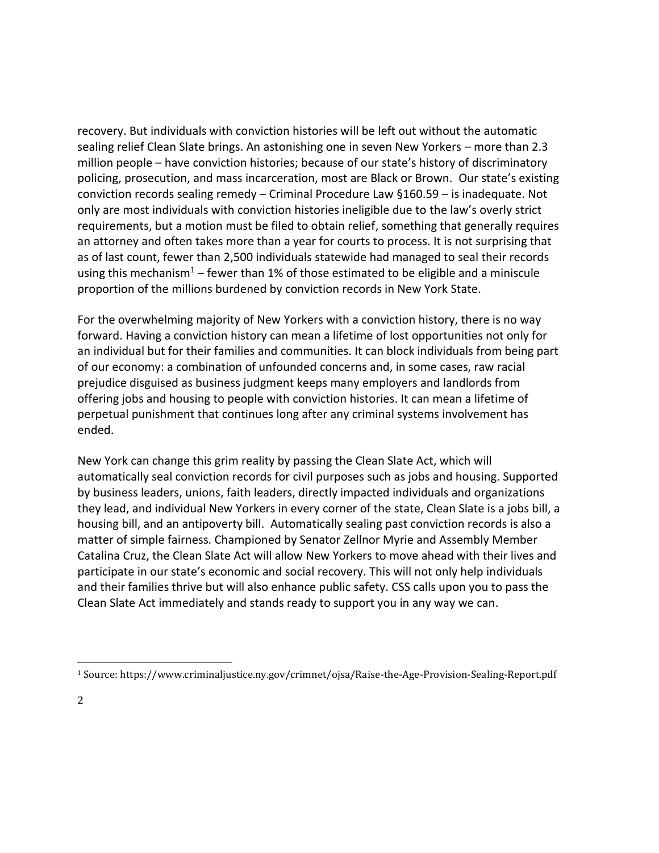recovery. But individuals with conviction histories will be left out without the automatic sealing relief Clean Slate brings. An astonishing one in seven New Yorkers – more than 2.3 million people – have conviction histories; because of our state's history of discriminatory policing, prosecution, and mass incarceration, most are Black or Brown.  Our state's existing conviction records sealing remedy – Criminal Procedure Law §160.59 – is inadequate. Not only are most individuals with conviction histories ineligible due to the law's overly strict requirements, but a motion must be filed to obtain relief, something that generally requires an attorney and often takes more than a year for courts to process. It is not surprising that as of last count, fewer than 2,500 individuals statewide had managed to seal their records using this mechanism<sup>1</sup> – fewer than 1% of those estimated to be eligible and a miniscule proportion of the millions burdened by conviction records in New York State.

For the overwhelming majority of New Yorkers with a conviction history, there is no way forward. Having a conviction history can mean a lifetime of lost opportunities not only for an individual but for their families and communities. It can block individuals from being part of our economy: a combination of unfounded concerns and, in some cases, raw racial prejudice disguised as business judgment keeps many employers and landlords from offering jobs and housing to people with conviction histories. It can mean a lifetime of perpetual punishment that continues long after any criminal systems involvement has ended.

New York can change this grim reality by passing the Clean Slate Act, which will automatically seal conviction records for civil purposes such as jobs and housing. Supported by business leaders, unions, faith leaders, directly impacted individuals and organizations they lead, and individual New Yorkers in every corner of the state, Clean Slate is a jobs bill, a housing bill, and an antipoverty bill.  Automatically sealing past conviction records is also a matter of simple fairness. Championed by Senator Zellnor Myrie and Assembly Member Catalina Cruz, the Clean Slate Act will allow New Yorkers to move ahead with their lives and participate in our state's economic and social recovery. This will not only help individuals and their families thrive but will also enhance public safety. CSS calls upon you to pass the Clean Slate Act immediately and stands ready to support you in any way we can.

<sup>1</sup> Source: https://www.criminaljustice.ny.gov/crimnet/ojsa/Raise-the-Age-Provision-Sealing-Report.pdf